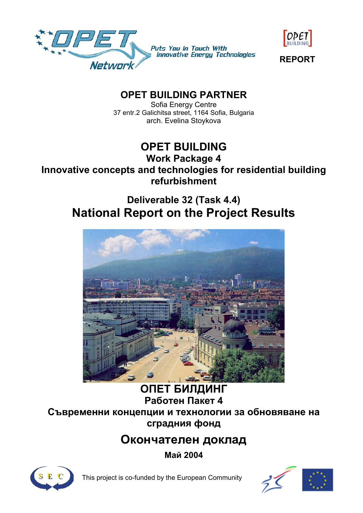



**REPORT** 

# **OPET BUILDING PARTNER**

Sofia Energy Centre 37 entr.2 Galichitsa street, 1164 Sofia, Bulgaria arch. Evelina Stoykova

# **OPET BUILDING**

# **Work Package 4 Innovative concepts and technologies for residential building refurbishment**

# **Deliverable 32 (Task 4.4) National Report on the Project Results**



# **ОПЕТ БИЛДИНГ Работен Пакет 4 Съвременни концепции и технологии за обновяване на сградния фонд**

# **Окончателен доклад**

**Май 2004**



This project is co-funded by the European Community

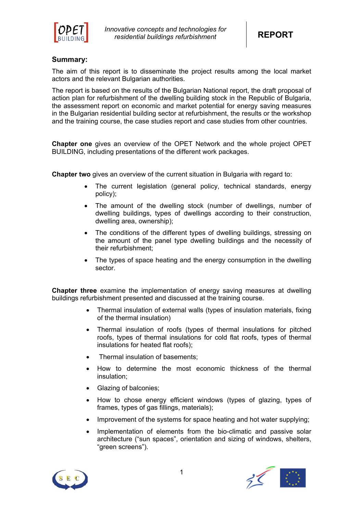

# **Summary:**

The aim of this report is to disseminate the project results among the local market actors and the relevant Bulgarian authorities.

The report is based on the results of the Bulgarian National report, the draft proposal of action plan for refurbishment of the dwelling building stock in the Republic of Bulgaria, the assessment report on economic and market potential for energy saving measures in the Bulgarian residential building sector at refurbishment, the results or the workshop and the training course, the case studies report and case studies from other countries.

**Chapter one** gives an overview of the OPET Network and the whole project OPET BUILDING, including presentations of the different work packages.

**Chapter two** gives an overview of the current situation in Bulgaria with regard to:

- The current legislation (general policy, technical standards, energy policy);
- The amount of the dwelling stock (number of dwellings, number of dwelling buildings, types of dwellings according to their construction, dwelling area, ownership);
- The conditions of the different types of dwelling buildings, stressing on the amount of the panel type dwelling buildings and the necessity of their refurbishment;
- The types of space heating and the energy consumption in the dwelling sector.

**Chapter three** examine the implementation of energy saving measures at dwelling buildings refurbishment presented and discussed at the training course.

- Thermal insulation of external walls (types of insulation materials, fixing of the thermal insulation)
- Thermal insulation of roofs (types of thermal insulations for pitched roofs, types of thermal insulations for cold flat roofs, types of thermal insulations for heated flat roofs);
- Thermal insulation of basements;
- How to determine the most economic thickness of the thermal insulation;
- Glazing of balconies;
- How to chose energy efficient windows (types of glazing, types of frames, types of gas fillings, materials);
- Improvement of the systems for space heating and hot water supplying;
- Implementation of elements from the bio-climatic and passive solar architecture ("sun spaces", orientation and sizing of windows, shelters, "green screens").



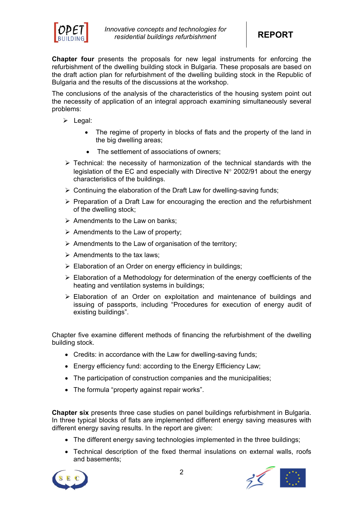

**Chapter four** presents the proposals for new legal instruments for enforcing the refurbishment of the dwelling building stock in Bulgaria. These proposals are based on the draft action plan for refurbishment of the dwelling building stock in the Republic of Bulgaria and the results of the discussions at the workshop.

The conclusions of the analysis of the characteristics of the housing system point out the necessity of application of an integral approach examining simultaneously several problems:

- $\triangleright$  Legal:
	- The regime of property in blocks of flats and the property of the land in the big dwelling areas;
	- The settlement of associations of owners:
- $\triangleright$  Technical: the necessity of harmonization of the technical standards with the legislation of the EC and especially with Directive  $N^{\circ}$  2002/91 about the energy characteristics of the buildings.
- $\triangleright$  Continuing the elaboration of the Draft Law for dwelling-saving funds;
- $\triangleright$  Preparation of a Draft Law for encouraging the erection and the refurbishment of the dwelling stock;
- $\triangleright$  Amendments to the Law on banks:
- $\triangleright$  Amendments to the Law of property;
- $\triangleright$  Amendments to the Law of organisation of the territory;
- $\triangleright$  Amendments to the tax laws:
- $\triangleright$  Elaboration of an Order on energy efficiency in buildings;
- $\triangleright$  Elaboration of a Methodology for determination of the energy coefficients of the heating and ventilation systems in buildings;
- $\triangleright$  Elaboration of an Order on exploitation and maintenance of buildings and issuing of passports, including "Procedures for execution of energy audit of existing buildings".

Chapter five examine different methods of financing the refurbishment of the dwelling building stock.

- Credits: in accordance with the Law for dwelling-saving funds;
- Energy efficiency fund: according to the Energy Efficiency Law;
- The participation of construction companies and the municipalities;
- The formula "property against repair works".

**Chapter six** presents three case studies on panel buildings refurbishment in Bulgaria. In three typical blocks of flats are implemented different energy saving measures with different energy saving results. In the report are given:

- The different energy saving technologies implemented in the three buildings;
- Technical description of the fixed thermal insulations on external walls, roofs and basements;



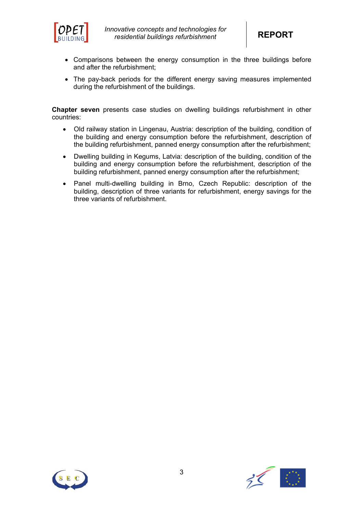

- Comparisons between the energy consumption in the three buildings before and after the refurbishment;
- The pay-back periods for the different energy saving measures implemented during the refurbishment of the buildings.

**Chapter seven** presents case studies on dwelling buildings refurbishment in other countries:

- Old railway station in Lingenau, Austria: description of the building, condition of the building and energy consumption before the refurbishment, description of the building refurbishment, panned energy consumption after the refurbishment;
- Dwelling building in Kegums, Latvia: description of the building, condition of the building and energy consumption before the refurbishment, description of the building refurbishment, panned energy consumption after the refurbishment;
- Panel multi-dwelling building in Brno, Czech Republic: description of the building, description of three variants for refurbishment, energy savings for the three variants of refurbishment.



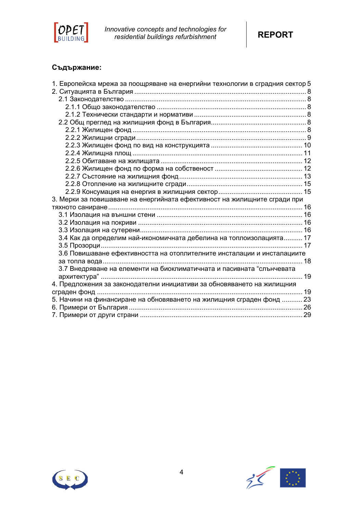

*Innovative concepts and technologies for residential buildings refurbishment* **REPORT**



# **Съдържание:**

| 1. Европейска мрежа за поощряване на енергийни технологии в сградния сектор 5 |  |
|-------------------------------------------------------------------------------|--|
|                                                                               |  |
|                                                                               |  |
|                                                                               |  |
|                                                                               |  |
|                                                                               |  |
|                                                                               |  |
|                                                                               |  |
|                                                                               |  |
|                                                                               |  |
|                                                                               |  |
|                                                                               |  |
|                                                                               |  |
|                                                                               |  |
|                                                                               |  |
| 3. Мерки за повишаване на енергийната ефективност на жилищните сгради при     |  |
|                                                                               |  |
|                                                                               |  |
|                                                                               |  |
|                                                                               |  |
| 3.4 Как да определим най-икономичната дебелина на топлоизолацията 17          |  |
|                                                                               |  |
| 3.6 Повишаване ефективността на отоплителните инсталации и инсталациите       |  |
|                                                                               |  |
| 3.7 Внедряване на елементи на биоклиматичната и пасивната "слънчевата         |  |
| архитектура" …………………………………………………………………………………………… 19                           |  |
| 4. Предложения за законодателни инициативи за обновяването на жилищния        |  |
|                                                                               |  |
| 5. Начини на финансиране на обновяването на жилищния сграден фонд  23         |  |
|                                                                               |  |
|                                                                               |  |
|                                                                               |  |



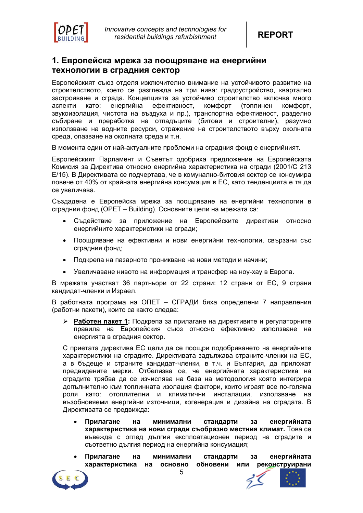



# **1. Европейска мрежа за поощряване на енергийни технологии в сградния сектор**

Европейският съюз отделя изключително внимание на устойчивото развитие на строителството, което се разглежда на три нива: градоустройство, квартално застрояване и сграда. Концепцията за устойчиво строителство включва много аспекти като: енергийна ефективност, комфорт (топлинен комфорт, звукоизолация, чистота на въздуха и пр.), транспортна ефективност, разделно събиране и преработка на отпадъците (битови и строителни), разумно използване на водните ресурси, отражение на строителството върху околната среда, опазване на околната среда и т.н.

В момента един от най-актуалните проблеми на сградния фонд е енергийният.

Европейският Парламент и Съветът одобриха предложение на Европейската Комисия за Директива относно енергийна характеристика на сгради (2001/С 213 Е/15). В Директивата се подчертава, че в комунално-битовия сектор се консумира повече от 40% от крайната енергийна консумация в ЕС, като тенденцията е тя да се увеличава.

Създадена е Европейска мрежа за поощряване на енергийни технологии в сградния фонд (OPET – Building). Основните цели на мрежата са:

- Съдействие за приложение на Европейските директиви относно енергийните характеристики на сгради;
- Поощряване на ефективни и нови енергийни технологии, свързани със сградния фонд;
- Подкрепа на пазарното проникване на нови методи и начини;
- Увеличаване нивото на информация и трансфер на ноу-хау в Европа.

В мрежата участват 36 партньори от 22 страни: 12 страни от ЕС, 9 страни кандидат-членки и Израел.

В работната програма на ОПЕТ – СГРАДИ бяха определени 7 направления (работни пакети), които са както следва:

¾ **Работен пакет 1:** Подкрепа за прилагане на директивите и регулаторните правила на Европейския съюз относно ефективно използване на енергията в сградния сектор.

С приетата директива ЕС цели да се поощри подобряването на енергийните характеристики на сградите. Директивата задължава страните-членки на ЕС, а в бъдеще и страните кандидат-членки, в т.ч. и България, да приложат предвидените мерки. Отбелязва се, че енергийната характеристика на сградите трябва да се изчислява на база на методология която интегрира допълнително към топлинната изолация фактори, които играят все по-голяма роля като: отоплителни и климатични инсталации, използване на възобновяеми енергийни източници, когенерация и дизайна на сградата. В Директивата се предвижда:

- **Прилагане на минимални стандарти за енергийната характеристика на нови сгради съобразно местния климат.** Това се въвежда с оглед дългия експлоатационен период на сградите и съответно дългия период на енергийна консумация;
- **Прилагане на минимални стандарти за енергийната характеристика на основно обновени или реконструирани**

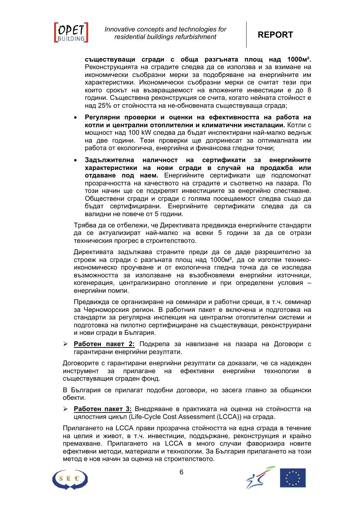

**съществуващи сгради с обща разгъната площ над 1000м².** Реконструкцията на сградите следва да се използва и за взимане на икономически съобразни мерки за подобряване на енергийните им характеристики. Икономически съобразни мерки се считат тези при които срокът на възвращаемост на вложените инвестиции е до 8 години. Съществена реконструкция се счита, когато нейната стойност е над 25% от стойността на не-обновената съществуваща сграда;

- **Регулярни проверки и оценки на ефективността на работа на котли и централни отоплителни и климатични инсталации.** Котли с мощност над 100 kW следва да бъдат инспектирани най-малко веднъж на две години. Тези проверки ще допринесат за оптималната им работа от екологична, енергийна и финансова гледни точки;
- **Задължителна наличност на сертификати за енергийните характеристики на нови сгради в случай на продажба или отдаване под наем.** Енергийните сертификати ще подпомогнат прозрачността на качеството на сградите и съответно на пазара. По този начин ще се подкрепят инвестициите за енергийно спестяване. Обществени сгради и сгради с голяма посещаемост следва също да бъдат сертифицирани. Енергийните сертификати следва да са валидни не повече от 5 години.

Трябва да се отбележи, че Директивата предвижда енергийните стандарти да се актуализират най-малко на всеки 5 години за да се отрази техническия прогрес в строителството.

Директивата задължава страните преди да се даде разрешително за строеж на сгради с разгъната площ над 1000м², да се изготви техникоикономическо проучване и от екологична гледна точка да се изследва възможността за използване на възобновяеми енергийни източници, когенерация, централизирано отопление и при определени условия – енергийни помпи.

Предвижда се организиране на семинари и работни срещи, в т.ч. семинар за Черноморския регион. В работния пакет е включена и подготовка на стандарти за регулярна инспекция на централни отоплителни системи и подготовка на пилотно сертифициране на съществуващи, реконструирани и нови сгради в България.

¾ **Работен пакет 2:** Подкрепа за навлизане на пазара на Договори с гарантирани енергийни резултати.

Договорите с гарантирани енергийни резултати са доказали, че са надежден инструмент за прилагане на ефективни енергийни технологии в съществуващия сграден фонд.

В България се прилагат подобни договори, но засега главно за общински обекти.

¾ **Работен пакет 3:** Внедряване в практиката на оценка на стойността на цялостния цикъл (Life-Cycle Cost Assessment (LCCA)) на сграда.

Прилагането на LCCA прави прозрачна стойността на една сграда в течение на целия и живот, в т.ч. инвестиции, поддържане, реконструкция и крайно премахване. Прилагането на LCCA в много случаи фаворизира новите ефективни методи, материали и технологии. За България прилагането на този метод е нов начин за оценка на строителството.

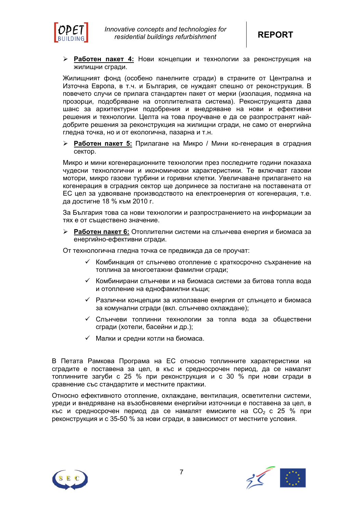

¾ **Работен пакет 4:** Нови концепции и технологии за реконструкция на жилищни сгради.

Жилищният фонд (особено панелните сгради) в страните от Централна и Източна Европа, в т.ч. и България, се нуждаят спешно от реконструкция. В повечето случи се прилага стандартен пакет от мерки (изолация, подмяна на прозорци, подобряване на отоплителната система). Реконструкцията дава шанс за архитектурни подобрения и внедряване на нови и ефективни решения и технологии. Целта на това проучване е да се разпространят найдобрите решения за реконструкция на жилищни сгради, не само от енергийна гледна точка, но и от екологична, пазарна и т.н.

¾ **Работен пакет 5:** Прилагане на Микро / Мини ко-генерация в сградния сектор.

Микро и мини когенерационните технологии през последните години показаха чудесни технологични и икономически характеристики. Те включват газови мотори, микро газови турбини и горивни клетки. Увеличаване прилагането на когенерация в сградния сектор ще допринесе за постигане на поставената от ЕС цел за удвояване производството на електроенергия от когенерация, т.е. да достигне 18 % към 2010 г.

За България това са нови технологии и разпространението на информации за тях е от съществено значение.

¾ **Работен пакет 6:** Отоплителни системи на слънчева енергия и биомаса за енергийно-ефективни сгради.

От технологична гледна точка се предвижда да се проучат:

- $\checkmark$  Комбинация от слънчево отопление с краткосрочно съхранение на топлина за многоетажни фамилни сгради;
- $\checkmark$  Комбинирани слънчеви и на биомаса системи за битова топла вода и отопление на еднофамилни къщи;
- $\checkmark$  Различни концепции за използване енергия от слънцето и биомаса за комунални сгради (вкл. слънчево охлаждане);
- $\checkmark$  Слънчеви топлинни технологии за топла вода за обществени сгради (хотели, басейни и др.);
- $\checkmark$  Малки и средни котли на биомаса.

В Петата Рамкова Програма на ЕС относно топлинните характеристики на сградите е поставена за цел, в къс и средносрочен период, да се намалят топлинните загуби с 25 % при реконструкция и с 30 % при нови сгради в сравнение със стандартите и местните практики.

Относно ефективното отопление, охлаждане, вентилация, осветителни системи, уреди и внедряване на възобновяеми енергийни източници е поставена за цел, в къс и средносрочен период да се намалят емисиите на  $CO_2$  с 25 % при реконструкция и с 35-50 % за нови сгради, в зависимост от местните условия.



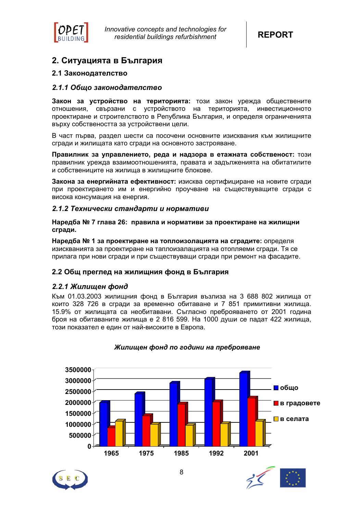

# **2. Ситуацията в България**

# **2.1 Законодателство**

# *2.1.1 Общо законодателство*

**Закон за устройство на територията:** този закон урежда обществените отношения, свързани с устройството на територията, инвестиционното проектиране и строителството в Република България, и определя ограниченията върху собствеността за устройствени цели.

В част първа, раздел шести са посочени основните изисквания към жилищните сгради и жилищата като сгради на основното застрояване.

**Правилник за управлението, реда и надзора в етажната собственост:** този правилник урежда взаимоотношенията, правата и задълженията на обитатилите и собствениците на жилища в жилищните блокове.

**Закона за енергийната ефективност:** изисква сертифициране на новите сгради при проектирането им и енергийно проучване на съществуващите сгради с висока консумация на енергия.

# *2.1.2 Технически стандарти и нормативи*

**Наредба № 7 глава 26: правила и нормативи за проектиране на жилищни сгради.** 

**Наредба № 1 за проектиране на топлоизолацията на сградите:** определя изискванията за проектиране на таплоизалацията на отопляеми сгради. Тя се прилага при нови сгради и при съществуващи сгради при ремонт на фасадите.

# **2.2 Общ преглед на жилищния фонд в България**

# *2.2.1 Жилищен фонд*

Към 01.03.2003 жилищния фонд в България възлиза на 3 688 802 жилища от които 328 726 в сгради за временно обитаване и 7 851 примитивни жилища. 15.9% от жилищата са необитавани. Съгласно преброяването от 2001 година броя на обитаваните жилища е 2 816 599. На 1000 души се падат 422 жилища, този показател е един от най-високите в Европа.



# *Жилищен фонд по години на преброяване*



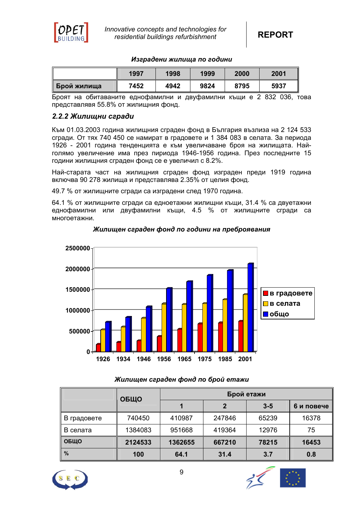

#### *Изградени жилища по години*

|                      | 1997 | 1998 | 1999 | 2000 | 2001 |
|----------------------|------|------|------|------|------|
| <u> </u> Брой жилища | 7452 | 4942 | 9824 | 8795 | 5937 |

Броят на обитаваните еднофамилни и двуфамилни къщи е 2 832 036, това представлявя 55.8% от жилищния фонд.

# *2.2.2 Жилищни сгради*

Към 01.03.2003 година жилищния сграден фонд в България възлиза на 2 124 533 сгради. От тях 740 450 се намират в градовете и 1 384 083 в селата. За периода 1926 - 2001 година тенденцията е към увеличаване броя на жилищата. Найголямо увеличение има през пириода 1946-1956 година. През последните 15 години жилищния сграден фонд се е увеличил с 8.2%.

Най-старата част на жилищния сграден фонд изграден преди 1919 година включва 90 278 жилища и представлява 2.35% от целия фонд.

49.7 % от жилищните сгради са изградени след 1970 година.

64.1 % от жилищните сгради са едноетажни жилищни къщи, 31.4 % са двуетажни еднофамилни или двуфамилни къщи, 4.5 % от жилищните сгради са многоетажни.



# *Жилищен сграден фонд по години на преброявания*

# *Жилищен сграден фонд по брой етажи*

|               | ОБЩО    | Брой етажи |        |         |            |  |  |
|---------------|---------|------------|--------|---------|------------|--|--|
|               |         |            |        | $3 - 5$ | 6 и повече |  |  |
| В градовете   | 740450  | 410987     | 247846 | 65239   | 16378      |  |  |
| В селата      | 1384083 | 951668     | 419364 | 12976   | 75         |  |  |
| ОБЩО          | 2124533 | 1362655    | 667210 | 78215   | 16453      |  |  |
| $\frac{9}{6}$ | 100     | 64.1       | 31.4   | 3.7     | 0.8        |  |  |



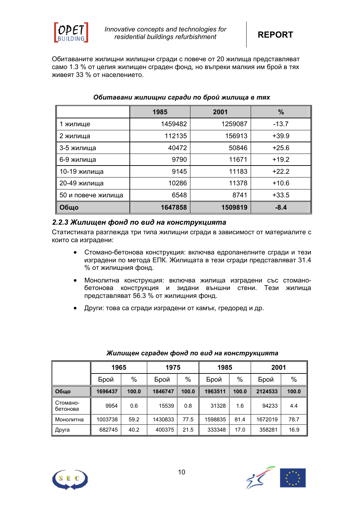

Обитаваните жилищни жилищни сгради с повече от 20 жилища представляват само 1.3 % от целия жилищен сграден фонд, но въпреки малкия им брой в тях живеят 33 % от населението.

|                    | 1985    | 2001    | $\frac{9}{6}$ |
|--------------------|---------|---------|---------------|
| 1 жилище           | 1459482 | 1259087 | $-13.7$       |
| 2 жилища           | 112135  | 156913  | $+39.9$       |
| 3-5 жилища         | 40472   | 50846   | $+25.6$       |
| 6-9 жилища         | 9790    | 11671   | $+19.2$       |
| 10-19 жилища       | 9145    | 11183   | $+22.2$       |
| 20-49 жилища       | 10286   | 11378   | $+10.6$       |
| 50 и повече жилища | 6548    | 8741    | $+33.5$       |
| Общо               | 1647858 | 1509819 | $-8.4$        |

# *Обитавани жилищни сгради по брой жилища в тях*

# *2.2.3 Жилищен фонд по вид на конструкцията*

Статистиката разглежда три типа жилищни сгради в зависимост от материалите с които са изградени:

- Стомано-бетонова конструкция: включва едропанелните сгради и тези изградени по метода ЕПК. Жилищата в тези сгради представляват 31.4 % от жилищния фонд.
- Монолитна конструкция: включва жилища изградени със стоманобетонова конструкция и зидани външни стени. Тези жилища представляват 56.3 % от жилищния фонд.
- Други: това са сгради изградени от камък, гредоред и др.

| 1965                 |         |       | 1975    |       | 1985    |       | 2001    |       |
|----------------------|---------|-------|---------|-------|---------|-------|---------|-------|
|                      | Брой    | %     | Брой    | $\%$  | Брой    | $\%$  | Брой    | $\%$  |
| Обшо                 | 1696437 | 100.0 | 1846747 | 100.0 | 1963511 | 100.0 | 2124533 | 100.0 |
| Стомано-<br>бетонова | 9954    | 0.6   | 15539   | 0.8   | 31328   | 1.6   | 94233   | 4.4   |
| Монолитна            | 1003738 | 59.2  | 1430833 | 77.5  | 1598835 | 81.4  | 1672019 | 78.7  |
| Друга                | 682745  | 40.2  | 400375  | 21.5  | 333348  | 17.0  | 358281  | 16.9  |

# *Жилищен сграден фонд по вид на конструкцията*



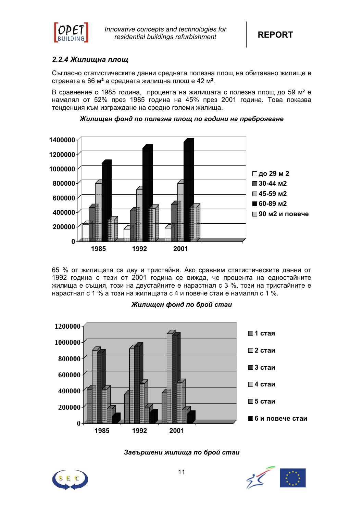

# *2.2.4 Жилищна площ*

Съгласно статистическите данни средната полезна площ на обитавано жилище в страната е 66 м² а средната жилищна площ е 42 м².

В сравнение с 1985 година, процента на жилищата с полезна площ до 59 м² е намалял от 52% през 1985 година на 45% през 2001 година. Това показва тенденция към изграждане на средно големи жилища.



#### *Жилищен фонд по полезна площ по години на преброяване*

65 % от жилищата са дву и тристайни. Ако сравним статистическите данни от 1992 година с тези от 2001 година се вижда, че процента на едностайните жилища е същия, този на двустайните е нарастнал с 3 %, този на тристайните е нарастнал с 1 % а този на жилищата с 4 и повече стаи е намалял с 1 %.



# *Жилищен фонд по брой стаи*



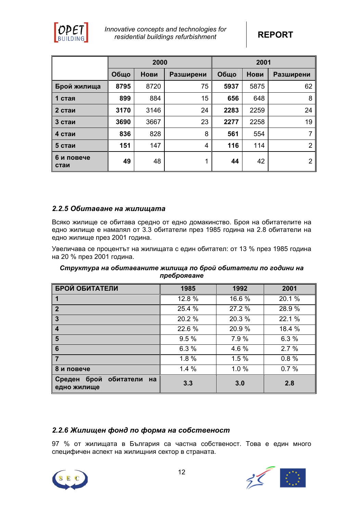

|                    |      | 2000 |           | 2001 |             |                |  |
|--------------------|------|------|-----------|------|-------------|----------------|--|
|                    | Общо | Нови | Разширени | Общо | <b>Нови</b> | Разширени      |  |
| Брой жилища        | 8795 | 8720 | 75        | 5937 | 5875        | 62             |  |
| 1 стая             | 899  | 884  | 15        | 656  | 648         | 8              |  |
| 2 стаи             | 3170 | 3146 | 24        | 2283 | 2259        | 24             |  |
| 3 стаи             | 3690 | 3667 | 23        | 2277 | 2258        | 19             |  |
| 4 стаи             | 836  | 828  | 8         | 561  | 554         | 7              |  |
| 5 стаи             | 151  | 147  | 4         | 116  | 114         | 2              |  |
| 6 и повече<br>стаи | 49   | 48   | 1         | 44   | 42          | $\overline{2}$ |  |

# *2.2.5 Обитаване на жилищата*

Всяко жилище се обитава средно от едно домакинство. Броя на обитателите на едно жилище е намалял от 3.3 обитатели през 1985 година на 2.8 обитатели на едно жилище през 2001 година.

Увеличава се процентът на жилищата с един обитател: от 13 % през 1985 година на 20 % през 2001 година.

| Структура на обитаваните жилища по брой обитатели по години на |  |
|----------------------------------------------------------------|--|
| преброяване                                                    |  |

| БРОЙ ОБИТАТЕЛИ                                           | 1985   | 1992   | 2001   |
|----------------------------------------------------------|--------|--------|--------|
| ∥ 1                                                      | 12.8%  | 16.6%  | 20.1 % |
| $\overline{\mathbf{2}}$                                  | 25.4 % | 27.2 % | 28.9 % |
| l 3                                                      | 20.2 % | 20.3 % | 22.1 % |
| $\overline{4}$                                           | 22.6 % | 20.9%  | 18.4 % |
| 5                                                        | 9.5%   | 7.9 %  | 6.3%   |
| 6                                                        | 6.3%   | 4.6 %  | 2.7%   |
| l 7                                                      | 1.8%   | 1.5%   | 0.8%   |
| 8 и повече                                               | 1.4%   | 1.0%   | 0.7%   |
| брой обитатели<br>  Среден <b> </b><br>Ha<br>едно жилище | 3.3    | 3.0    | 2.8    |

# *2.2.6 Жилищен фонд по форма на собственост*

97 % от жилищата в България са частна собственост. Това е един много специфичен аспект на жилищния сектор в страната.



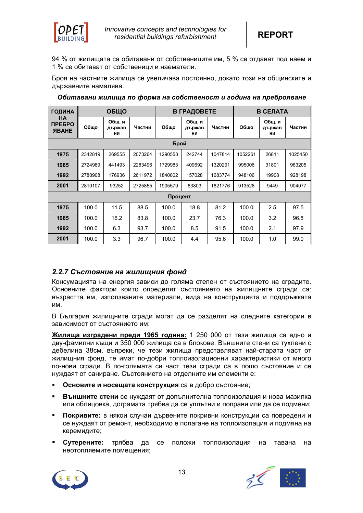

94 % от жилищата са обитавани от собствениците им, 5 % се отдават под наем и 1 % се обитават от собственици и наематели.

Броя на частните жилища се увеличава постоянно, докато този на общинските и държавните намалява.

| <b>ГОДИНА</b>                        |         | ОБЩО                          |         |         | В ГРАДОВЕТЕ                   |         | В СЕЛАТА |                               |         |
|--------------------------------------|---------|-------------------------------|---------|---------|-------------------------------|---------|----------|-------------------------------|---------|
| HA.<br><b>ПРЕБРО</b><br><b>RBAHE</b> | Общо    | <b>Общ.</b> и<br>държав<br>ни | Частни  | Обшо    | <b>Общ. и</b><br>държав<br>ни | Частни  | Обшо     | <b>Общ.</b> и<br>държав<br>ни | Частни  |
|                                      |         |                               |         | Брой    |                               |         |          |                               |         |
| 1975                                 | 2342819 | 269555                        | 2073264 | 1290558 | 242744                        | 1047814 | 1052261  | 26811                         | 1025450 |
| 1985                                 | 2724989 | 441493                        | 2283496 | 1729983 | 409692                        | 1320291 | 995006   | 31801                         | 963205  |
| 1992                                 | 2788908 | 176936                        | 2611972 | 1840802 | 157028                        | 1683774 | 948106   | 19908                         | 928198  |
| 2001                                 | 2819107 | 93252                         | 2725855 | 1905579 | 83803                         | 1821776 | 913528   | 9449                          | 904077  |
|                                      |         |                               |         | Процент |                               |         |          |                               |         |
| 1975                                 | 100.0   | 11.5                          | 88.5    | 100.0   | 18.8                          | 81.2    | 100.0    | 2.5                           | 97.5    |
| 1985                                 | 100.0   | 16.2                          | 83.8    | 100.0   | 23.7                          | 76.3    | 100.0    | 3.2                           | 96.8    |
| 1992                                 | 100.0   | 6.3                           | 93.7    | 100.0   | 8.5                           | 91.5    | 100.0    | 2.1                           | 97.9    |
| 2001                                 | 100.0   | 3.3                           | 96.7    | 100.0   | 4.4                           | 95.6    | 100.0    | 1.0                           | 99.0    |

*Обитавани жилища по форма на собственост и година на преброяване*

# *2.2.7 Състояние на жилищния фонд*

Консумацията на енергия зависи до голяма степен от състоянието на сградите. Основните фактори които определят състоянието на жилищните сгради са: възрастта им, използваните материали, вида на конструкцията и поддръжката им.

В България жилищните сгради могат да се разделят на следните категории в зависимост от състоянието им:

**Жилища изградени преди 1965 година:** 1 250 000 от тези жилища са едно и дву-фамилни къщи и 350 000 жилища са в блокове. Външните стени са тухлени с дебелина 38см. въпреки, че тези жилища представляват най-старата част от жилищния фонд, те имат по-добри топлоизолационни характеристики от много по-нови сгради. В по-голямата си част тези сгради са в лошо състояние и се нуждаят от саниране. Състоянието на отделните им елементи е:

- **Основите и носещата конструкция** са в добро състояние;
- **Външните стени** се нуждаят от допълнителна топлоизолация и нова мазилка или облицовка, дограмата трябва да се уплътни и поправи или да се подмени;
- **Покривите:** в някои случаи дървените покривни конструкции са повредени и се нуждаят от ремонт, необходимо е полагане на топлоизолация и подмяна на керемидите;
- **Сутерените:** трябва да се положи топлоизолация на тавана на неотопляемите помещения;



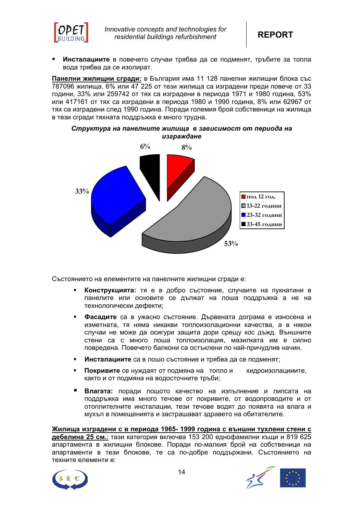

 **Инсталациите** в повечето случаи трябва да се подменят, тръбите за топла вода трябва да се изолират.

**Панелни жилищни сгради:** в България има 11 128 панелни жилищни блока със 787096 жилища. 6% или 47 225 от тези жилища са изградени преди повече от 33 години, 33% или 259742 от тях са изградени в периода 1971 и 1980 година, 53% или 417161 от тях са изградени в периода 1980 и 1990 година, 8% или 62967 от тях са изградени след 1990 година. Поради големия брой собственици на жилища в тези сгради тяхната поддръжка е много трудна.





Състоянието на елементите на панелните жилищни сгради е:

- **Конструкцията:** тя е в добро състояние, случаите на пукнатини в панелите или основите се дължат на лоша поддръжка а не на технологически дефекти;
- **Фасадите** са в ужасно състояние. Дървената дограма е износена и изметната, тя няма никакви топлоизолационни качества, а в някои случаи не може да осигури защита дори срещу кос дъжд. Външните стени са с много лоша топлоизолация, мазилката им е силно повредена. Повечето балкони са остъклени по най-причудлив начин.
- **Инсталациите** са в лошо състояние и трябва да се подменят;
- **Покривите** се нуждаят от подмяна на топло и хидроизолацииите, както и от подмяна на водосточните тръби;
- **Влагата:** поради лошото качество на изпълнение и липсата на поддръжка има много течове от покривите, от водопроводите и от отоплителните инсталации, тези течове водят до появята на влага и мухъл в помещенията и застрашават здравето на обитателите.

**Жилища изградени с в периода 1965- 1999 година с външни тухлени стени с дебелина 25 см.**: тази категория включва 153 200 еднофамилни къщи и 819 625 апартамента в жилищни блокове. Поради по-малкия брой на собственици на апартаменти в тези блокове, те са по-добре поддържани. Състоянието на техните елементи е:

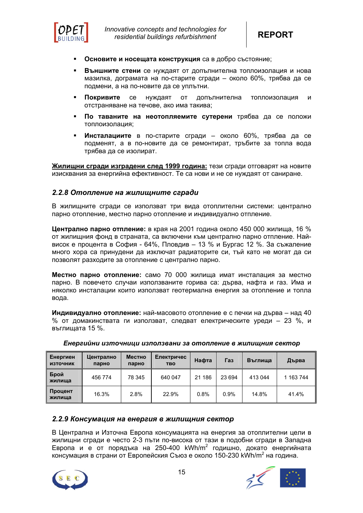

- **Основите и носещата конструкция** са в добро състояние;
- **Външните стени** се нуждаят от допълнителна топлоизолация и нова мазилка, дограмата на по-старите сгради – около 60%, трябва да се подмени, а на по-новите да се уплътни.
- **Покривите** се нуждаят от допълнителна топлоизолация и отстраняване на течове, ако има такива;
- **По таваните на неотопляемите сутерени** трябва да се положи топлоизолация;
- **Инсталациите** в по-старите сгради около 60%, трябва да се подменят, а в по-новите да се ремонтират, тръбите за топла вода трябва да се изолират.

**Жилищни сгради изградени след 1999 година:** тези сгради отговарят на новите изисквания за енергийна ефективност. Те са нови и не се нуждаят от саниране.

#### *2.2.8 Отопление на жилищните сгради*

В жилищните сгради се използват три вида отоплителни системи: централно парно отопление, местно парно отопление и индивидуално отпление.

**Централно парно отпление:** в края на 2001 година около 450 000 жилища, 16 % от жилищния фонд в страната, са включени към централно парно отпление. Найвисок е процента в София - 64%, Пловдив – 13 % и Бургас 12 %. За съжаление много хора са принудени да изключат радиаторите си, тъй като не могат да си позволят разходите за отопление с централно парно.

**Местно парно отопление:** само 70 000 жилища имат инсталация за местно парно. В повечето случаи използваните горива са: дърва, нафта и газ. Има и няколко инсталации които използват геотермална енергия за отопление и топла вода.

**Индивидуално отопление:** най-масовото отопление е с печки на дърва – над 40 % от домакинствата ги използват, следват електрическите уреди – 23 %, и въглищата 15 %.

| Енергиен<br><b>ИЗТОЧНИК</b> | Централно<br>парно | Местно<br>парно | Електричес<br><b>TBO</b> | Нафта  | Газ    | Въглиша | Дърва     |
|-----------------------------|--------------------|-----------------|--------------------------|--------|--------|---------|-----------|
| Брой<br>жилиша              | 456 774            | 78 345          | 640 047                  | 21 186 | 23 694 | 413 044 | 1 163 744 |
| Процент<br>жилища           | 16.3%              | 2.8%            | 22.9%                    | 0.8%   | 0.9%   | 14.8%   | 41.4%     |

*Енергийни източници използвани за отопление в жилищния сектор*

# *2.2.9 Консумация на енергия в жилищния сектор*

В Централна и Източна Европа консумацията на енергия за отоплителни цели в жилищни сгради е често 2-3 пъти по-висока от тази в подобни сгради в Западна Европа и е от порядъка на 250-400 kWh/m2 годишно, докато енергийната консумация в страни от Европейския Съюз е около 150-230 kWh/m<sup>2</sup> на година.



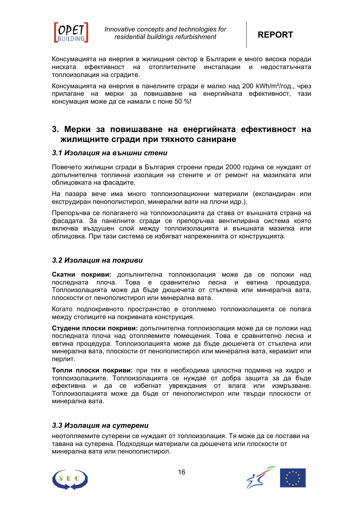

Консумацията на енергия в жилищния сектор в България е много висока поради ниската ефективност на отоплителните инсталации и недостатъчната топлоизолация на сградите.

Консумацията на енергия в панелните сгради е малко над 200 kWh/m²/год., чрез прилагане на мерки за повишаване на енергийната ефективност, тази консумация може да се намали с поне 50 %!

# **3. Мерки за повишаване на енергийната ефективност на жилищните сгради при тяхното саниране**

# *3.1 Изолация на външни стени*

Повечето жилищни сгради в България строени преди 2000 година се нуждаят от допълнителна топлинна изолация на стените и от ремонт на мазилката или облицовката на фасадите.

На пазара вече има много топлоизолационни материали (експандиран или екструдиран пенополистирол, минерални вати на плочи идр.).

Препоръчва се полагането на топлоизолацията да става от външната страна на фасадата. За панелните сгради се препоръчва вентилирана система която включва въздушен слой между топлоизолацията и външната мазилка или облицовка. При тази система се избягват напреженията от конструкцията.

# *3.2 Изолация на покриви*

**Скатни покриви:** допълнителна топлоизолация може да се положи над последната плоча. Това е сравнително лесна и евтина процедура. Топлоизолацията може да бъде дюшечета от стъклена или минерална вата, плоскости от пенополистирол или минерална вата.

Когато подпокривното пространство е отопляемо топлоизолацията се полага между столиците на покривната конструкция.

**Студени плоски покриви:** допълнителна топлоизолация може да се положи над последната плоча над отопляемите помещения. Това е сравнително лесна и евтина процедура. Топлоизолацията може да бъде дюшечета от стъклена или минерална вата, плоскости от пенополистирол или минерална вата, керамзит или перлит.

**Топли плоски покриви:** при тях е необходима цялостна подмяна на хидро и топлоизолациите. Топлоизолацията се нуждае от добра защита за да бъде ефективна и да се избегнат увреждания от влага или измръзване. Топлоизолацията може да бъде от пенополистирол или твърди плоскости от минерална вата.

# *3.3 Изолация на сутерени*

неотопляемите сутерени се нуждаят от топлоизолация. Тя може да се постави на тавана на сутерена. Подходящи материали са дюшечета или плоскости от минерална вата или пенополистирол.



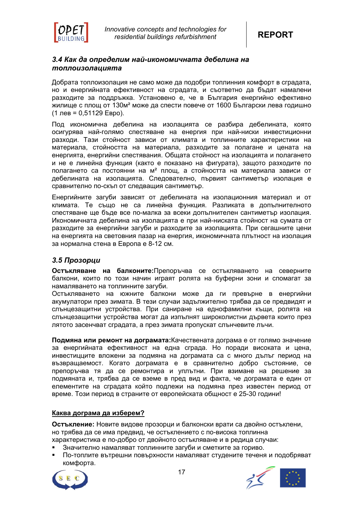

# *3.4 Как да определим най-икономичната дебелина на топлоизолацията*

Добрата топлоизолация не само може да подобри топлинния комфорт в сградата, но и енергийната ефективност на сградата, и съответно да бъдат намалени разходите за поддръжка. Установено е, че в България енергийно ефективно жилище с площ от 130м² може да спести повече от 1600 Български лева годишно (1 лев = 0,51129 Евро).

Под икономична дебелина на изолацията се разбира дебелината, която осигурява най-голямо спестяване на енергия при най-ниски инвестиционни разходи. Тази стойност зависи от климата и топлинните характеристики на материала, стойността на материала, разходите за полагане и цената на енергията, енергийни спестявания. Общата стойност на изолацията и полагането и не е линейна функция (както е показано на фигурата), защото разходите по полагането са постоянни на м² площ, а стойността на материала зависи от дебелината на изолацията. Следователно, първият сантиметър изолация е сравнително по-скъп от следващия сантиметър.

Енергийните загуби зависят от дебелината на изолационния материал и от климата. Те също не са линейна функция. Разликата в допълнителното спестяване ще бъде все по-малка за всеки допълнителен сантиметър изолация. Икономичната дебелина на изолацията е при най-ниската стойност на сумата от разходите за енергийни загуби и разходите за изолацията. При сегашните цени на енергията на световния пазар на енергия, икономичната плътност на изолация за нормална стена в Европа е 8-12 см.

# *3.5 Прозорци*

**Остъкляване на балконите:**Препоръчва се остъкляването на северните балкони, които по този начин играят ролята на буферни зони и спомагат за намаляването на топлинните загуби.

Остъкляването на южните балкони може да ги превърне в енергийни акумулатори през зимата. В тези случаи задължително трябва да се предвидят и слънцезащитни устройства. При саниране на еднофамилни къщи, ролята на слънцезащитни устройства могат да изпълнят широколистни дървета които през лятото засенчват сградата, а през зимата пропускат слънчевите лъчи.

**Подмяна или ремонт на дограмата:**Качествената дограма е от голямо значение за енергийната ефективност на една сграда. Но поради високата и цена, инвестицците вложени за подмяна на дограмата са с много дълъг период на възвращаемост. Когато дограмата е в сравнително добро състояние, се препоръчва тя да се ремонтира и уплътни. При взимане на решение за подмяната и, трябва да се вземе в пред вид и факта, че дограмата е един от елементите на сградата който подлежи на подмяна през известен период от време. Този период в страните от европейската общност е 25-30 години!

# **Каква дограма да изберем?**

**Остъкление:** Новите видове прозорци и балконски врати са двойно остъклени, но трябва да се има предвид, че остъклението с по-висока топлинна характеристика е по-добро от двойното остъкляване и в редица случаи:

- Значително намаляват топлинните загуби и сметките за гориво.
- По-топлите вътрешни повърхности намаляват студените теченя и подобряват комфорта.



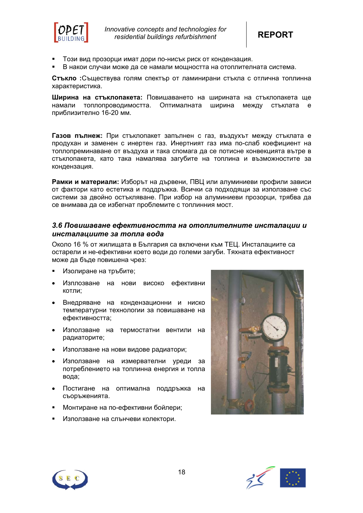

*Innovative concepts and technologies for residential buildings refurbishment* **REPORT**

- Този вид прозорци имат дори по-нисък риск от кондензация.
- В накои случаи може да се намали мощността на отоплителната система.

**Стъкло :**Съществува голям спектър от ламинирани стъкла с отлична топлинна характеристика.

**Ширина на стъклопакета:** Повишаването на ширината на стъклопакета ще намали топлопроводимостта. Оптималната ширина между стъклата е приблизително 16-20 мм.

**Газов пълнеж:** При стъклопакет запълнен с газ, въздухът между стъклата е продухан и заменен с инертен газ. Инертният газ има по-слаб коефициент на топлопреминаване от въздуха и така спомага да се потисне конвекцията вътре в стъклопакета, като така намалява загубите на топлина и възможностите за кондензация.

**Рамки и материали:** Изборът на дървени, ПВЦ или алуминиеви профили зависи от фактори като естетика и поддръжка. Всички са подходящи за използване със системи за двойно остъкляване. При избор на алуминиеви прозорци, трябва да се внимава да се избегнат проблемите с топлинния мост.

# *3.6 Повишаване ефективността на отоплителните инсталации и инсталациите за топла вода*

Около 16 % от жилищата в България са включени към ТЕЦ. Инсталациите са остарели и не-ефективни което води до големи загуби. Тяхната ефективност може да бъде повишена чрез:

- Изолиране на тръбите;
- Изплозване на нови високо ефективни котли;
- Внедряване на кондензационни и ниско температурни технологии за повишаване на ефективността;
- Използване на термостатни вентили на радиаторите;
- Използване на нови видове радиатори;
- Използване на измервателни уреди за потреблението на топлинна енергия и топла вода;
- Постигане на оптимална поддръжка на съоръженията.
- Монтиране на по-ефективни бойлери;
- Използване на слънчеви колектори.





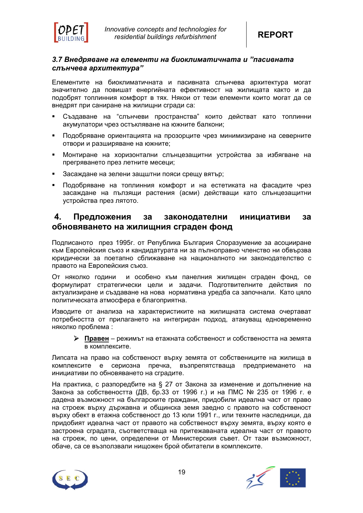

# *3.7 Внедряване на елементи на биоклиматичната и "пасивната слънчева архитектура"*

Елементите на биоклиматичната и пасивната слънчева архитектура могат значително да повишат енергийната ефективност на жилищата както и да подобрят топлинния комфорт в тях. Някои от тези елементи които могат да се внедрят при саниране на жилищни сгради са:

- Създаване на "слънчеви пространства" които действат като топлинни акумулатори чрез остъкляване на южните балкони;
- Подобряване ориентацията на прозорците чрез минимизиране на северните отвори и разширяване на южните;
- Монтиране на хоризонтални слънцезащитни устройства за избягване на прегряването през летните месеци;
- Засаждане на зелени защштни пояси срещу вятър;
- Подобряване на топлинния комфорт и на естетиката на фасадите чрез засаждане на пълзящи растения (асми) действащи като слънцезащитни устройства през лятото.

# **4. Предложения за законодателни инициативи за обновяването на жилищния сграден фонд**

Подписаното през 1995г. от Република България Споразумение за асоцииране към Европейския съюз и кандидатурата ни за пълноправно членство ни обвързва юридически за поетапно сближаване на националното ни законодателство с правото на Европейския съюз.

От няколко години и особено към панелния жилищен сграден фонд, се формулират стратегически цели и задачи. Подготвителните действия по актуализиране и създаване на нова нормативна уредба са започнали. Като цяло политическата атмосфера е благоприятна.

Изводите от анализа на характеристиките на жилищната система очертават потребността от прилагането на интегриран подход, атакуващ едновременно няколко проблема :

¾ **Правен** – режимът на етажната собственост и собствеността на земята в комплексите.

Липсата на право на собственост върху земята от собствениците на жилища в комплексите е сериозна пречка, възпрепятстваща предприемането на инициативи по обновяването на сградите.

На практика, с разпоредбите на § 27 от Закона за изменение и допълнение на Закона за собствеността (ДВ, бр.33 от 1996 г.) и на ПМС № 235 от 1996 г. е дадена възможност на българските граждани, придобили идеална част от право на строеж върху държавна и общинска земя заедно с правото на собственост върху обект в етажна собственост до 13 юли 1991 г., или техните наследници, да придобият идеална част от правото на собственост върху земята, върху която е застроена сградата, съответстваща на притежаваната идеална част от правото на строеж, по цени, определени от Министерския съвет. От тази възможност, обаче, са се възползвали нищожен брой обитатели в комплексите.



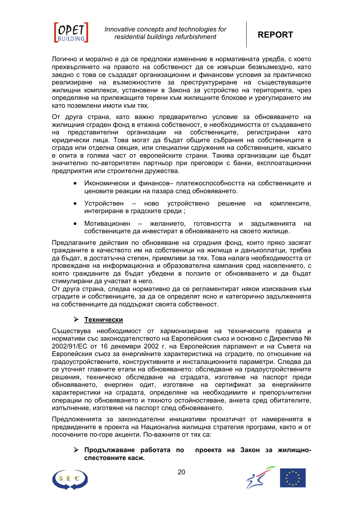

Логично и морално е да се предложи изменение в нормативната уредба, с което прехвърлянето на правото на собственост да се извърши безвъзмездно, като заедно с това се създадат организационни и финансови условия за практическо реализиране на възможностите за преструктуриране на съществуващите жилищни комплекси, установени в Закона за устройство на територията, чрез определяне на прилежащите терени към жилищните блокове и урегулирането им като поземлени имоти към тях.

От друга страна, като важно предварително условие за обновяването на жилищния сграден фонд в етажна собственост, е необходимостта от създаването на представителни организации на собствениците, регистрирани като юридически лица. Това могат да бъдат общите събрания на собствениците в сграда или отделна секция, или специални сдружения на собствениците, какъвто е опита в голяма част от европейските страни. Такива организации ще бъдат значително по-авторитетен партньор при преговори с банки, експлоатационни предприятия или строителни дружества.

- Икономически и финансов– платежоспособността на собствениците и ценовите реакции на пазара след обновяването.
- Устройствен ново устройствено решение на комплексите, интегриране в градските среди ;
- Мотивационен желанието, готовността и задълженията на собствениците да инвестират в обновяването на своето жилище.

Предлаганите действия по обновяване на сградния фонд, които пряко засягат гражданите в качеството им на собственици на жилища и данъкоплатци, трябва да бъдат, в достатъчна степен, приемливи за тях. Това налага необходимостта от провеждане на информационна и образователна кампания сред населението, с която гражданите да бъдат убедени в ползите от обновяването и да бъдат стимулирани да участват в него.

От друга страна, следва нормативно да се регламентират някои изисквания към сградите и собствениците, за да се определят ясно и категорично задълженията на собствениците да поддържат своята собственост.

# ¾ **Технически**

Съществува необходимост от хармонизиране на техническите правила и нормативи със законодателството на Европейския съюз и основно с Директива № 2002/91/ЕС от 16 декември 2002 г. на Европейския парламент и на Съвета на Европейския съюз за енергийните характеристика на сградите, по отношение на градоустройствените, конструктивните и инсталационните параметри. Следва да се уточнят главните етапи на обновяването: обследване на градоустройствените решения, техническо обследване на сградата, изготвяне на паспорт преди обновяването, енергиен одит, изготвяне на сертификат за енергийните характеристики на сградата, определяне на необходимите и препоръчителни операции по обновяването и тяхното остойностяване, анкета сред обитателите, изпълнение, изготвяне на паспорт след обновяването.

Предложенията за законодателни инициативи произтичат от намеренията в предвидените в проекта на Национална жилищна стратегия програми, както и от посочените по-горе акценти. По-важните от тях са:

¾ **Продължаване работата по проекта на Закон за жилищноспестовните каси.** 

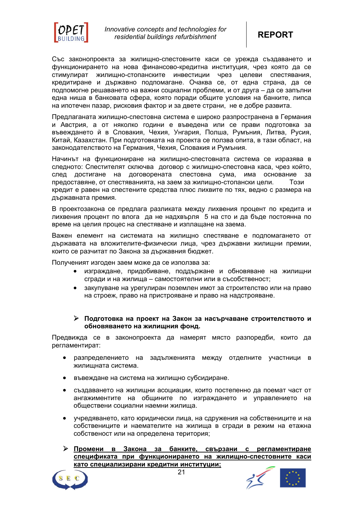

Със законопроекта за жилищно-спестовните каси се урежда създаването и функционирането на нова финансово-кредитна институция, чрез която да се стимулират жилищно-стопанските инвестиции чрез целеви спестявания, кредитиране и държавно подпомагане. Очаква се, от една страна, да се подпомогне решаването на важни социални проблеми, и от друга – да се запълни една ниша в банковата сфера, която поради общите условия на банките, липса на ипотечен пазар, рисковия фактор и за двете страни, не е добре развита.

Предлаганата жилищно-спестовна система е широко разпространена в Германия и Австрия, а от няколко години е въведена или се прави подготовка за въвеждането й в Словакия, Чехия, Унгария, Полша, Румъния, Литва, Русия, Китай, Казахстан. При подготовката на проекта се ползва опита, в тази област, на законодателството на Германия, Чехия, Словакия и Румъния.

Начинът на функциониране на жилищно-спестовната система се изразява в следното: Спестителят сключва договор с жилищно-спестовна каса, чрез който, след достигане на договорената спестовна сума, има основание за предоставяне, от спестяванията, на заем за жилищно-стопански цели. Този кредит е равен на спестените средства плюс лихвите по тях, ведно с размера на държавната премия.

В проектозакона се предлага разликата между лихвения процент по кредита и лихвения процент по влога да не надхвърля 5 на сто и да бъде постоянна по време на целия процес на спестяване и изплащане на заема.

Важен елемент на системата на жилищно спестяване е подпомагането от държавата на вложителите-физически лица, чрез държавни жилищни премии, които се разчитат по Закона за държавния бюджет.

Полученият изгоден заем може да се използва за:

- изграждане, придобиване, поддържане и обновяване на жилищни сгради и на жилища – самостоятелни или в съсобственост;
- закупуване на урегулиран поземлен имот за строителство или на право на строеж, право на пристрояване и право на надстрояване.

# ¾ **Подготовка на проект на Закон за насърчаване строителството и обновяването на жилищния фонд.**

Предвижда се в законопроекта да намерят място разпоредби, които да регламентират:

- разпределението на задълженията между отделните участници в жилищната система.
- въвеждане на система на жилищно субсидиране.
- създаването на жилищни асоциации, които постепенно да поемат част от ангажиментите на общините по изграждането и управлението на обществени социални наемни жилища.
- учредяването, като юридически лица, на сдружения на собствениците и на собствениците и наемателите на жилища в сгради в режим на етажна собственост или на определена територия;

¾ **Промени в Закона за банките, свързани с регламентиране спецификата при функционирането на жилищно-спестовните каси като специализирани кредитни институции;**



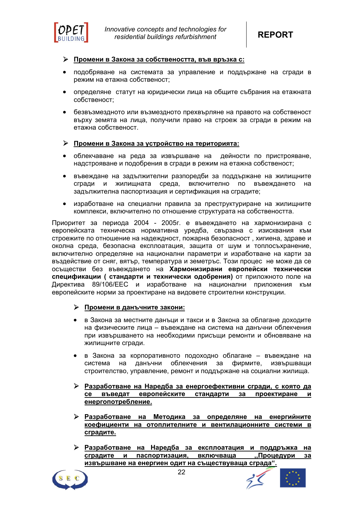

# ¾ **Промени в Закона за собствеността, във връзка с:**

- подобряване на системата за управление и поддържане на сгради в режим на етажна собственост;
- определяне статут на юридически лица на общите събрания на етажната собственост;
- безвъзмездното или възмездното прехвърляне на правото на собственост върху земята на лица, получили право на строеж за сгради в режим на етажна собственост.

# ¾ **Промени в Закона за устройство на територията:**

- облекчаване на реда за извършване на дейности по пристрояване, надстрояване и подобрения в сгради в режим на етажна собственост;
- въвеждане на задължителни разпоредби за поддържане на жилищните сгради и жилищната среда, включително по въвеждането на задължителна паспортизация и сертификация на сградите;
- изработване на специални правила за преструктуриране на жилищните комплекси, включително по отношение структурата на собствеността.

Приоритет за периода 2004 - 2005г. е въвеждането на хармонизирана с европейската техническа нормативна уредба, свързана с изисквания към строежите по отношение на надеждност, пожарна безопасност , хигиена, здраве и околна среда, безопасна експлоатация, защита от шум и топлосъхранение, включително определяне на национални параметри и изработване на карти за въздействие от сняг, вятър, температура и земетръс. Този процес не може да се осъществи без въвеждането на **Хармонизирани европейски технически спецификации ( стандарти и технически одобрения)** от приложното поле на Директива 89/106/ЕЕС и изработване на национални приложения към европейските норми за проектиране на видовете строителни конструкции.

# ¾ **Промени в данъчните закони:**

- в Закона за местните данъци и такси и в Закона за облагане доходите на физическите лица – въвеждане на система на данъчни облекчения при извършването на необходими присъщи ремонти и обновяване на жилищните сгради.
- в Закона за корпоративното подоходно облагане въвеждане на система на данъчни облекчения за фирмите, извършващи строителство, управление, ремонт и поддържане на социални жилища.
- ¾ **Разработване на Наредба за енергоефективни сгради, с която да се въведат европейските стандарти за проектиране и енергопотребление.**
- ¾ **Разработване на Методика за определяне на енергийните коефициенти на отоплителните и вентилационните системи в сградите.**
- ¾ **Разработване на Наредба за експлоатация и поддръжка на сградите и паспортизация, включваща ,,Процедури за извършване на енергиен одит на съществуваща сграда".**



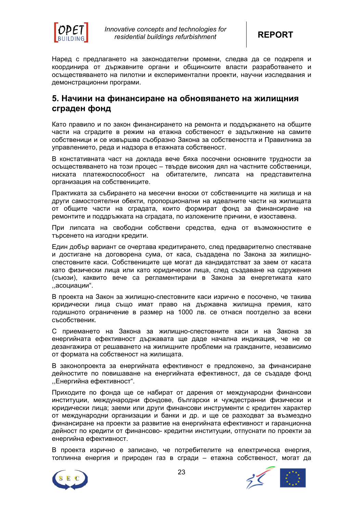

Наред с предлагането на законодателни промени, следва да се подкрепя и координира от държавните органи и общинските власти разработването и осъществяването на пилотни и експериментални проекти, научни изследвания и демонстрационни програми.

# **5. Начини на финансиране на обновяването на жилищния сграден фонд**

Като правило и по закон финансирането на ремонта и поддържането на общите части на сградите в режим на етажна собственост е задължение на самите собственици и се извършва съобразно Закона за собствеността и Правилника за управлението, реда и надзора в етажната собственост.

В констативната част на доклада вече бяха посочени основните трудности за осъществяването на този процес – твърде високия дял на частните собственици, ниската платежоспособност на обитателите, липсата на представителна организация на собствениците.

Практиката за събирането на месечни вноски от собствениците на жилища и на други самостоятелни обекти, пропорционални на идеалните части на жилищата от общите части на сградата, които формират фонд за финансиране на ремонтите и поддръжката на сградата, по изложените причини, е изоставена.

При липсата на свободни собствени средства, една от възможностите е търсенето на изгодни кредити.

Един добър вариант се очертава кредитирането, след предварително спестяване и достигане на договорена сума, от каса, създадена по Закона за жилищноспестовните каси. Собствениците ще могат да кандидатстват за заем от касата като физически лица или като юридически лица, след създаване на сдружения (съюзи), каквито вече са регламентирани в Закона за енергетиката като ,,асоциации".

В проекта на Закон за жилищно-спестовните каси изрично е посочено, че такива юридически лица също имат право на държавна жилищна премия, като годишното ограничение в размер на 1000 лв. се отнася поотделно за всеки съсобственик.

С приемането на Закона за жилищно-спестовните каси и на Закона за енергийната ефективност държавата ще даде начална индикация, че не се дезангажира от решаването на жилищните проблеми на гражданите, независимо от формата на собственост на жилищата.

В законопроекта за енергийната ефективност е предложено, за финансиране дейностите по повишаване на енергийната ефективност, да се създаде фонд ,,Енергийна ефективност".

Приходите по фонда ще се набират от дарения от международни финансови институции, международни фондове, български и чуждестранни физически и юридически лица; заеми или други финансови инструменти с кредитен характер от международни организации и банки и др. и ще се разходват за възмездно финансиране на проекти за развитие на енергийната ефективност и гаранционна дейност по кредити от финансово- кредитни институции, отпуснати по проекти за енергийна ефективност.

В проекта изрично е записано, че потребителите на електрическа енергия, топлинна енергия и природен газ в сгради – етажна собственост, могат да



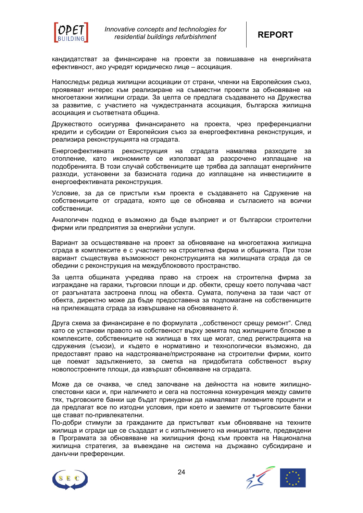

кандидатстват за финансиране на проекти за повишаване на енергийната ефективност, ако учредят юридическо лице – асоциация.

Напоследък редица жилищни асоциации от страни, членки на Европейския съюз, проявяват интерес към реализиране на съвместни проекти за обновяване на многоетажни жилищни сгради. За целта се предлага създаването на Дружества за развитие, с участието на чуждестранната асоциация, българска жилищна асоциация и съответната община.

Дружеството осигурява финансирането на проекта, чрез преференциални кредити и субсидии от Европейския съюз за енергоефективна реконструкция, и реализира реконструкцията на сградата.

Енергоефективната реконструкция на сградата намалява разходите за отопление, като икономиите се използват за разсрочено изплащане на подобренията. В този случай собствениците ще трябва да заплащат енергийните разходи, установени за базисната година до изплащане на инвестициите в енергоефективната реконструкция.

Условие, за да се пристъпи към проекта е създаването на Сдружение на собствениците от сградата, която ще се обновява и съгласието на всички собственици.

Аналогичен подход е възможно да бъде възприет и от български строителни фирми или предприятия за енергийни услуги.

Вариант за осъществяване на проект за обновяване на многоетажна жилищна сграда в комплексите е с участието на строителна фирма и общината. При този вариант съществува възможност реконструкцията на жилищната сграда да се обедини с реконструкция на междублоковото пространство.

За целта общината учредява право на строеж на строителна фирма за изграждане на гаражи, търговски площи и др. обекти, срещу което получава част от разгънатата застроена площ на обекта. Сумата, получена за тази част от обекта, директно може да бъде предоставена за подпомагане на собствениците на прилежащата сграда за извършване на обновяването й.

Друга схема за финансиране е по формулата ,,собственост срещу ремонт". След като се установи правото на собственост върху земята под жилищните блокове в комплексите, собствениците на жилища в тях ще могат, след регистрацията на сдружения (съюзи), и където е нормативно и технологически възможно, да предоставят право на надстрояване/пристрояване на строителни фирми, които ще поемат задължението, за сметка на придобитата собственост върху новопостроените площи, да извършат обновяване на сградата.

Може да се очаква, че след започване на дейността на новите жилищноспестовни каси и, при наличието и сега на постоянна конкуренция между самите тях, търговските банки ще бъдат принудени да намаляват лихвените проценти и да предлагат все по изгодни условия, при което и заемите от търговските банки ще стават по-привлекателни.

По-добри стимули за гражданите да пристъпват към обновяване на техните жилища и сгради ще се създадат и с изпълнението на инициативите, предвидени в Програмата за обновяване на жилищния фонд към проекта на Национална жилищна стратегия, за въвеждане на система на държавно субсидиране и данъчни преференции.



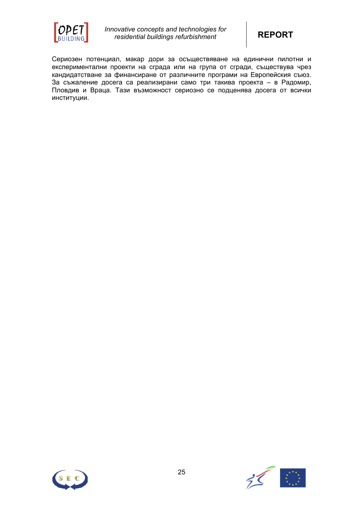

Сериозен потенциал, макар дори за осъществяване на единични пилотни и експериментални проекти на сграда или на група от сгради, съществува чрез кандидатстване за финансиране от различните програми на Европейския съюз. За съжаление досега са реализирани само три такива проекта – в Радомир, Пловдив и Враца. Тази възможност сериозно се подценява досега от всички институции.



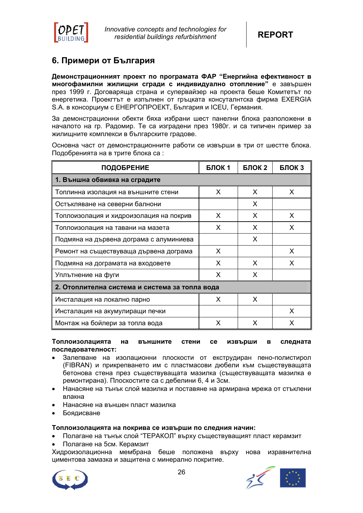

# **6. Примери от България**

**Демонстрационният проект по програмата ФАР "Енергийна ефективност в многофамилни жилищни сгради с индивидуално отопление"** е завършен през 1999 г. Договаряща страна и супервайзер на проекта беше Комитетът по енергетика. Проекгтът е изпълнен от гръцката консуталнтска фирма EXERGIA S.A. в консорциум с ЕНЕРГОПРОЕКТ, България и ICEU, Германия.

За демонстрационни обекти бяха избрани шест панелни блока разположени в началото на гр. Радомир. Те са изградени през 1980г. и са типичен пример за жилищните комплекси в българските градове.

Основна част от демонстрационните работи се извърши в три от шестте блока. Подобренията на в трите блока са :

| <b>ПОДОБРЕНИЕ</b>                              | БЛОК 1 | БЛОК 2 | БЛОКЗ |  |  |  |  |  |
|------------------------------------------------|--------|--------|-------|--|--|--|--|--|
| 1. Външна обвивка на сградите                  |        |        |       |  |  |  |  |  |
| Топлинна изолация на външните стени            | X      | X      | X     |  |  |  |  |  |
| Остъкляване на северни балнони                 |        | X      |       |  |  |  |  |  |
| Топлоизолация и хидроизолация на покрив        | X      | X      | X     |  |  |  |  |  |
| Топлоизолация на тавани на мазета              | X      | X      | X.    |  |  |  |  |  |
| Подмяна на дървена дограма с алуминиева        |        | X      |       |  |  |  |  |  |
| Ремонт на съществуваща дървена дограма         | X      |        | X     |  |  |  |  |  |
| Подмяна на дограмата на входовете              | X      | X      | X     |  |  |  |  |  |
| Уплътнение на фуги                             | X      | X      |       |  |  |  |  |  |
| 2. Отоплителна система и система за топла вода |        |        |       |  |  |  |  |  |
| Инсталация на локално парно                    | X      | X      |       |  |  |  |  |  |
| Инсталация на акумулиращи печки                |        |        | X     |  |  |  |  |  |
| Монтаж на бойлери за топла вода                | X      | X      | X     |  |  |  |  |  |

**Топлоизолацията на външните стени се извърши в следната последователност:** 

- Залепване на изолационни плоскости от екструдиран пено-полистирол (FIBRAN) и прикрепването им с пластмасови дюбели към съществуващата бетонова стена през съществуващата мазилка (съществуващата мазилка е ремонтирана). Плоскостите са с дебелини 6, 4 и 3см.
- Нанасяне на тънък слой мазилка и поставяне на армирана мрежа от стъклени влакна
- Нанасяне на външен пласт мазилка
- Боядисване

#### **Топлоизолацията на покрива се извърши по следния начин:**

- Полагане на тънък слой "ТЕРАКОЛ" върху съществуващият пласт керамзит
- Полагане на 5см. Керамзит

Хидроизолационна мембрана беше положена върху нова изравнителна циментова замазка и защитена с минерално покритие.



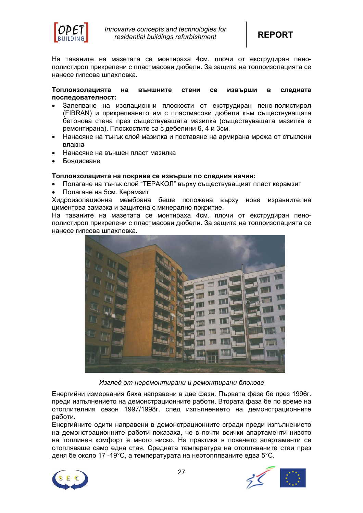

На таваните на мазетата се монтираха 4см. плочи от екструдиран пенополистирол прикрепени с пластмасови дюбели. За защита на топлоизолацията се нанесе гипсова шпахловка.

#### **Топлоизолацията на външните стени се извърши в следната последователност:**

- Залепване на изолационни плоскости от екструдиран пено-полистирол (FIBRAN) и прикрепването им с пластмасови дюбели към съществуващата бетонова стена през съществуващата мазилка (съществуващата мазилка е ремонтирана). Плоскостите са с дебелини 6, 4 и 3см.
- Нанасяне на тънък слой мазилка и поставяне на армирана мрежа от стъклени влакна
- Нанасяне на външен пласт мазилка
- Боядисване

#### **Топлоизолацията на покрива се извърши по следния начин:**

- Полагане на тънък слой "ТЕРАКОЛ" върху съществуващият пласт керамзит
- Полагане на 5см. Керамзит

Хидроизолационна мембрана беше положена върху нова изравнителна циментова замазка и защитена с минерално покритие.

На таваните на мазетата се монтираха 4см. плочи от екструдиран пенополистирол прикрепени с пластмасови дюбели. За защита на топлоизолацията се нанесе гипсова шпахловка.



*Изглед от неремонтирани и ремонтирани блокове*

Енергийни измервания бяха направени в две фази. Първата фаза бе през 1996г. преди изпълнението на демонстрационните работи. Втората фаза бе по време на отоплителния сезон 1997/1998г. след изпълнението на демонстрационните работи.

Енергийните одити направени в демонстрационните сгради преди изпълнението на демонстрационните работи показаха, че в почти всички апартаменти нивото на топлинен комфорт е много ниско. На практика в повечето апартаменти се отопляваше само една стая. Средната температура на отопляваните стаи през деня бе около 17 -19°С, а температурата на неотопляваните едва 5°С.



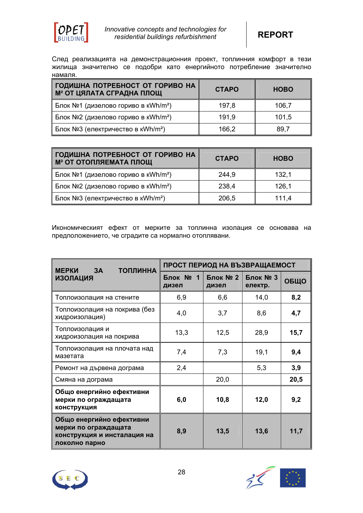

След реализацията на демонстрационния проект, топлинния комфорт в тези жилища значително се подобри като енергийното потребление значително намаля.

| ∥ГОДИШНА ПОТРЕБНОСТ ОТ ГОРИВО НА<br>И <sup>2</sup> ОТ ЦЯЛАТА СГРАДНА ПЛОЩ | <b>CTAPO</b> | <b>HOBO</b> |
|---------------------------------------------------------------------------|--------------|-------------|
| Блок №1 (дизелово гориво в кWh/m <sup>2</sup> )                           | 197,8        | 106,7       |
| Блок №2 (дизелово гориво в кWh/m <sup>2</sup> )                           | 191,9        | 101.5       |
| Блок №3 (електричество в кWh/m <sup>2</sup> )                             | 166,2        | 89,7        |

| ∥ГОДИШНА ПОТРЕБНОСТ ОТ ГОРИВО НА<br><b>М<sup>2</sup> ОТ ОТОПЛЯЕМАТА ПЛОЩ</b> | <b>CTAPO</b> | <b>HOBO</b> |
|------------------------------------------------------------------------------|--------------|-------------|
| Блок №1 (дизелово гориво в кWh/m <sup>2</sup> )                              | 244,9        | 132,1       |
| ∥ Блок №2 (дизелово гориво в кWh/m <sup>2</sup> )                            | 238,4        | 126,1       |
| Блок №3 (електричество в кWh/m <sup>2</sup> )                                | 206,5        | 111.4       |

Икономическият ефект от мерките за топлинна изолация се основава на предположението, че сградите са нормално отоплявани.

| <b>ТОПЛИННА</b><br><b>МЕРКИ</b><br>3A                                                            | ПРОСТ ПЕРИОД НА ВЪЗВРАЩАЕМОСТ |                   |                     |      |
|--------------------------------------------------------------------------------------------------|-------------------------------|-------------------|---------------------|------|
| <b>ИЗОЛАЦИЯ</b>                                                                                  | Блок № 1<br>дизел             | Блок № 2<br>дизел | Блок № 3<br>електр. | ОБЩО |
| Топлоизолация на стените                                                                         | 6,9                           | 6,6               | 14,0                | 8,2  |
| Топлоизолация на покрива (без<br>хидроизолация)                                                  | 4,0                           | 3,7               | 8,6                 | 4,7  |
| Топлоизолация и<br>хидроизолация на покрива                                                      | 13,3                          | 12,5              | 28,9                | 15,7 |
| Топлоизолация на плочата над<br>мазетата                                                         | 7,4                           | 7,3               | 19,1                | 9,4  |
| Ремонт на дървена дограма                                                                        | 2,4                           |                   | 5,3                 | 3,9  |
| Смяна на дограма                                                                                 |                               | 20,0              |                     | 20,5 |
| Общо енергийно ефективни<br>мерки по ограждащата<br>конструкция                                  | 6,0                           | 10,8              | 12,0                | 9,2  |
| Общо енергийно ефективни<br>мерки по ограждащата<br>конструкция и инсталация на<br>локолно парно | 8,9                           | 13,5              | 13,6                | 11,7 |



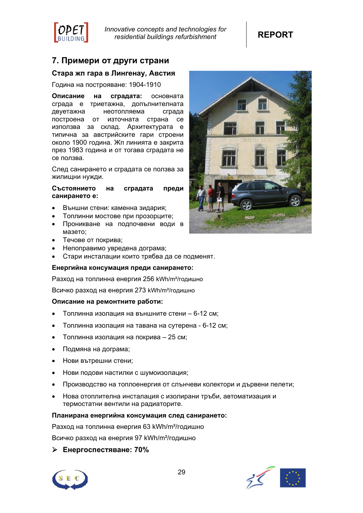

# **7. Примери от други страни**

# **Стара жп гара в Лингенау, Австия**

Година на построяване: 1904-1910

**Описание на сградата:** основната сграда е триетажна, допълнителната двуетажна неотопляема сграда построена от източната страна се използва за склад. Архитектурата е типична за австрийските гари строени около 1900 година. Жп линията е закрита през 1983 година и от тогава сградата не се ползва.

След санирането и сградата се ползва за жилищни нужди.

#### **Състоянието на сградата преди санирането е:**

- Външни стени: каменна зидария;
- Топлинни мостове при прозорците;
- Проникване на подпочвени води в мазето;
- Течове от покрива;
- Непоправимо увредена дограма;
- Стари инсталации които трябва да се подменят.

#### **Енергийна консумация преди санирането:**

Разход на топлинна енергия 256 kWh/m²/годишно

Всичко разход на енергия 273 kWh/m²/годишно

#### **Описание на ремонтните работи:**

- Топлинна изолация на външните стени 6-12 см;
- Топлинна изолация на тавана на сутерена 6-12 см;
- Топлинна изолация на покрива 25 см;
- Подмяна на дограма;
- Нови вътрешни стени;
- Нови подови настилки с шумоизолация;
- Производство на топлоенергия от слънчеви колектори и дървени пелети;
- Нова отоплителна инсталация с изолирани тръби, автоматизация и термостатни вентили на радиаторите.

#### **Планирана енергийна консумация след санирането:**

Разход на топлинна енергия 63 kWh/m²/годишно

Всичко разход на енергия 97 kWh/m²/годишно

# ¾ **Енергоспестяване: 70%**





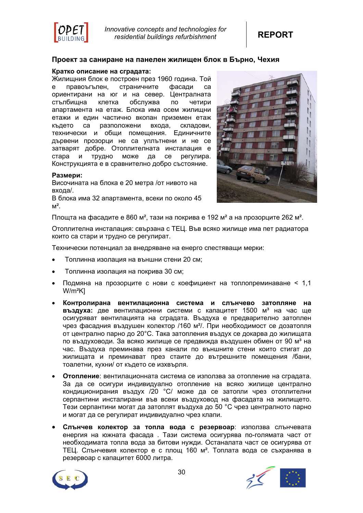

#### **Проект за саниране на панелен жилищен блок в Бърно, Чехия**

#### **Кратко описание на сградата:**

Жилищния блок е построен през 1960 година. Той е правоъгълен, страничните фасади са ориентирани на юг и на север. Централната стълбищна клетка обслужва по четири апартамента на етаж. Блока има осем жилищни етажи и един частично вкопан приземен етаж където са разположени входа, складови, технически и общи помещения. Единичните дървени прозорци не са уплътнени и не се затварят добре. Отоплителната инсталация е стара и трудно може да се регулира. Конструкцията е в сравнително добро състояние.

#### **Размери:**

Височината на блока е 20 метра /от нивото на входа/.

В блока има 32 апартамента, всеки по около 45  $M^2$ .



Площта на фасадите е 860 м<sup>2</sup>, тази на покрива е 192 м<sup>2</sup> а на прозорците 262 м<sup>2</sup>.

Отоплителна инсталация: свързана с ТЕЦ. Във всяко жилище има пет радиатора които са стари и трудно се регулират.

Технически потенциал за внедряване на енерго спестяващи мерки:

- Топлинна изолация на външни стени 20 см;
- Топлинна изолация на покрива 30 см;
- Подмяна на прозорците с нови с коефициент на топлопреминаване < 1,1 W/m²K]
- **Контролирана вентилационна система и слънчево затопляне на** въздуха: две вентилационни системи с капацитет 1500 м<sup>3</sup> на час ще осигуряват вентилацията на сградата. Въздуха е предварително затоплен чрез фасадния въздушен колектор /160 м²/. При необходимост се дозатопля от централно парно до 20°C. Така затопления въздух се докарва до жилищата по въздуховоди. За всяко жилище се предвижда въздушен обмен от 90 м<sup>з</sup> на час. Въздуха преминава през канали по външните стени които стигат до жилищата и преминават през стаите до вътрешните помещения /бани, тоалетни, кухни/ от където се изхвърля.
- **Отопление**: вентилационната система се използва за отопление на сградата. За да се осигури индивидуално отопление на всяко жилище централно кондиционирания въздух /20 °C/ може да се затопли чрез отоплителни серпантини инсталирани във всеки въздуховод на фасадата на жилището. Тези серпантини могат да затоплят въздуха до 50 °C чрез централното парно и могат да се регулират индивидуално чрез клапи.
- **Слънчев колектор за топла вода с резервоар**: използва слънчевата енергия на южната фасада . Тази система осигурява по-голямата част от необходимата топла вода за битови нужди. Останалата част се осигурява от ТЕЦ. Слънчевия колектор е с площ 160 м². Топлата вода се съхранява в резервоар с капацитет 6000 литра.